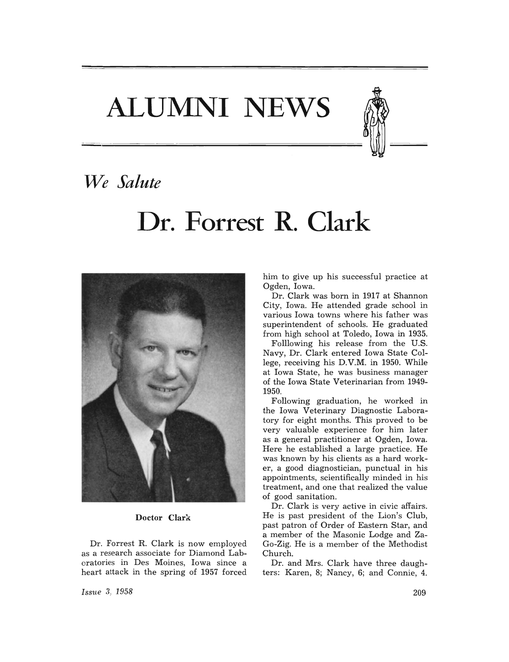**ALUMNI NEWS** 



## *We Salute*

# **Dr. Forrest R. Clark**



### Doctor Clark

Dr. Forrest R. Clark is now employed as a research associate for Diamond Laboratories in Des Moines, Iowa since a heart attack in the spring of 1957 forced

him to give up his successful practice at Ogden, Iowa.

Dr. Clark was born in 1917 at Shannon City, Iowa. He attended grade school in various Iowa towns where his father was superintendent of schools. He graduated from high school at Toledo, Iowa in 1935.

Folllowing his release from the U.S. Navy, Dr. Clark entered Iowa State College, receiving his D.V.M. in 1950. While at Iowa State, he was business manager of the Iowa State Veterinarian from 1949- 1950.

Following graduation, he worked in the Iowa Veterinary Diagnostic Laboratory for eight months. This proved to be very valuable experience for him later as a general practitioner at Ogden, Iowa. Here he established a large practice. He was known by his clients as a hard worker, a good diagnostician, punctual in his appointments, scientifically minded in his treatment, and one that realized the value of good sanitation.

Dr. Clark is very active in civic affairs. He is past president of the Lion's Club, past patron of Order of Eastern Star, and a member of the Masonic Lodge and Za-Go-Zig. He is a member of the Methodist Church.

Dr. and Mrs. Clark have three daughters: Karen, 8; Nancy, 6; and Connie, 4.

*Issue* .3, 1958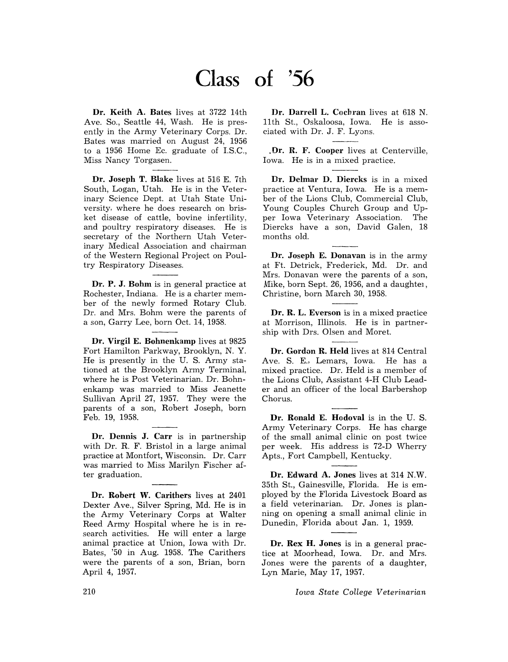# **Class of '56**

**Dr. Keith A. Bates** lives at 3722 14th Ave. So., Seattle 44, Wash. He is presently in the Army Veterinary Corps. Dr. Bates was married on August 24, 1956 to a 1956 Home Ec. graduate of I.S.C., Miss Nancy Torgasen.

**Dr. Joseph T. Blake** lives at 516 E. 7th South, Logan, Utah. He is in the Veterinary Science Dept. at Utah State University, where he does research on brisket disease of cattle, bovine infertility, and poultry respiratory diseases. He is secretary of the Northern Utah Veterinary Medical Association and chairman of the Western Regional Project on Poultry Respiratory Diseases.

**Dr. P. J. Bohm** is in general practice at Rochester, Indiana. He is a charter member of the newly formed Rotary Club. Dr. and Mrs. Bohm were the parents of a son, Garry Lee, born Oct. 14, 1958.

**Dr. Virgil E. Bohnenkamp** lives at 9825 Fort Hamilton Parkway, Brooklyn, N. Y. He is presently in the U. S. Army stationed at the Brooklyn Army Terminal, where he is Post Veterinarian. Dr. Bohnenkamp was married to Miss Jeanette Sullivan April 27, 1957. They were the parents of a son, Robert Joseph, born Feb. 19, 1958.

**Dr. Dennis J. Carr** is in partnership with Dr. R. F. Bristol in a large animal practice at Montfort, Wisconsin. Dr. Carr was married to Miss Marilyn Fischer after graduation.

**Dr. Robert W. Carithers** lives at 2401 Dexter Ave., Silver Spring, Md. He is in the Army Veterinary Corps at Walter Reed Army Hospital where he is in research activities. He will enter a large animal practice at Union, Iowa with Dr. Bates, '50 in Aug. 1958. The Carithers were the parents of a son, Brian, born April 4, 1957.

**Dr. Darrell L. Cocbran** lives at 618 N. 11th St., Oskaloosa, Iowa. He is associated with Dr. J. F. Lyons.

**.Dr. R. F. Cooper** lives at Centerville, Iowa. He is in a mixed practice.

**Dr. Delmar D. Diercks** is in a mixed practice at Ventura, Iowa. He is a member of the Lions Club, Commercial Club, Young Couples Church Group and Upper Iowa Veterinary Association. The Diercks have a son, David Galen, 18 months old.

**Dr. Joseph E. Donavan** is in the army at Ft. Detrick, Frederick, Md. Dr. and Mrs. Donavan were the parents of a son, Mike, born Sept. 26, 1956, and a daughter, Christine, born March 30, 1958.

**Dr. R. L. Everson** is in a mixed practice at Morrison, Illinois. He is in partnership with Drs. Olsen and Moret.

**Dr. Gordon R. Held** lives at 814 Central Ave. S. E., Lemars, Iowa. He has a mixed practice. Dr. Held is a member of the Lions Club, Assistant 4-H Club Leader and an officer of the local Barbershop Chorus.

**Dr. Ronald E.. Hodoval** is in the U. S. Army Veterinary Corps. He has charge of the small animal clinic on post twice per week. His address is 72-D Wherry Apts., Fort Campbell, Kentucky.

**Dr. Edward A. Jones** lives at 314 N.W. 35th St., Gainesville, Florida. He is employed by the Florida Livestock Board as a field veterinarian. Dr. Jones is planning on opening a small animal clinic in Dunedin, Florida about Jan. 1, 1959.

**Dr. Rex H. Jones** is in a general practice at Moorhead, Iowa. Dr. and Mrs. Jones were the parents of a daughter, Lyn Marie, May 17, 1957.

*Iowa State College Veterinarian*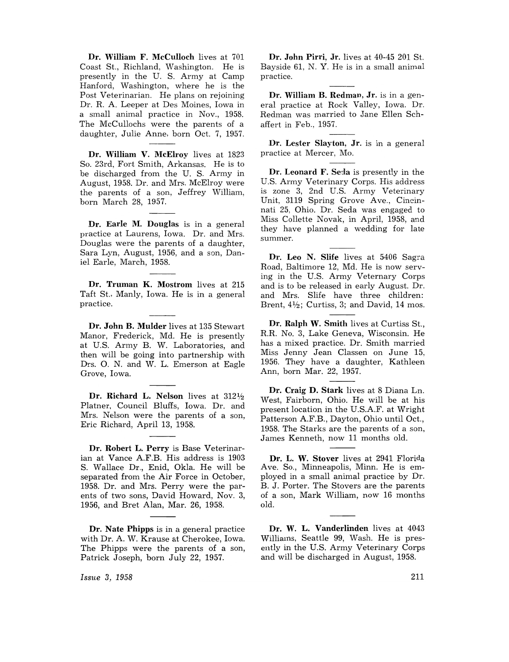Dr. William F. McCulloch lives at 701 Coast St., Richland, Washington. He is presently in the U. S. Army at Camp Hanford, Washington, where he is the Post Veterinarian. He plans on rejoining Dr. R. A. Leeper at Des Moines, Iowa in a small animal practice in Nov., 1958. The McCullochs were the parents of a daughter, Julie Anne, born Oct. 7, 1957.

Dr. William V. McElroy lives at 1823 So. 23rd, Fort Smith, Arkansas. He is to be discharged from the U. S. Army in August, 1958. Dr. and Mrs. McElroy were the parents of a son, Jeffrey William, born March 28, 1957.

Dr. Earle M. Douglas is in a general practice at Laurens, Iowa. Dr. and Mrs. Douglas were the parents of a daughter, Sara Lyn, August, 1956, and a son, Daniel Earle, March, 1958.

Dr. Truman K. Mostrom lives at 215 Taft St., Manly, Iowa. He is in a general practice.

Dr. John B. Mulder lives at 135 Stewart Manor, Frederick, Md. He is presently at U.S. Army B. W. Laboratories, and then will be going into partnership with Drs. O. N. and W. L. Emerson at Eagle Grove, Iowa.

Dr. Richard L. Nelson lives at 3121/2 Platner, Council Bluffs, Iowa. Dr. and Mrs. Nelson were the parents of a son, Eric Richard, April 13, 1958.

Dr. Robert L. Perry is Base Veterinarian at Vance A.F.B. His address is 1903 S. Wallace Dr., Enid, Okla. He will be separated from the Air Force in October, 1958. Dr. and Mrs. Perry were the parents of two sons, David Howard, Nov. 3, 1956, and Bret Alan, Mar. 26, 1958.

Dr. Nate Phipps is in a general practice with Dr. A. W. Krause at Cherokee, Iowa. The Phipps were the parents of a son, Patrick Joseph, born July 22, 1957.

*Issue* 3, 1958

Dr. John Pirri, Jr. lives at 40-45 201 St. Bayside 61, N. Y. He is in a small animal practice.

Dr. William B. Redman, Jr. is in a general practice at Rock Valley, Iowa. Dr. Redman was married to Jane Ellen Schaffert in Feb., 1957.

Dr. Lester Slayton, Jr. is in a general practice at Mercer, Mo.

Dr. Leonard F. Seda is presently in the U.S. Army Veterinary Corps. His address is zone 3, 2nd U.S. Army Veterinary Unit, 3119 Spring Grove Ave., Cincinnati 25, Ohio. Dr. Seda was engaged to Miss Collette Novak, in April, 1958, and they have planned a wedding for late summer.

Dr. Leo N. Slife lives at 5406 Sagra Road, Baltimore 12, Md. He is now serving in the U.S. Army Veternary Corps and is to be released in early August. Dr. and Mrs. Slife have three children: Brent,  $4\frac{1}{2}$ ; Curtiss, 3; and David, 14 mos.

Dr. Ralph W. Smith lives at Curtiss St., R.R. No. 3, Lake Geneva, Wisconsin. He has a mixed practice. Dr. Smith married Miss Jenny Jean Classen on June 15, 1956. They have a daughter, Kathleen Ann, born Mar. 22, 1957.

Dr. Craig D. Stark lives at 8 Diana Ln. West, Fairborn, Ohio. He will be at his present location in the U.S.A.F. at Wright Patterson A.F.B., Dayton, Ohio until Oct., 1958. The Starks are the parents of a son, James Kenneth, now 11 months old.

Dr. L. W. Stover lives at 2941 Florida Ave. So., Minneapolis, Minn. He is employed in a small animal practice by Dr. B. J. Porter. The Stovers are the parents of a son, Mark William, now 16 months old.

Dr. W. L. Vanderlinden lives at 4043 Williams, Seattle 99, Wash. He is presently in the U.S. Army Veterinary Corps and will be discharged in August, 1958.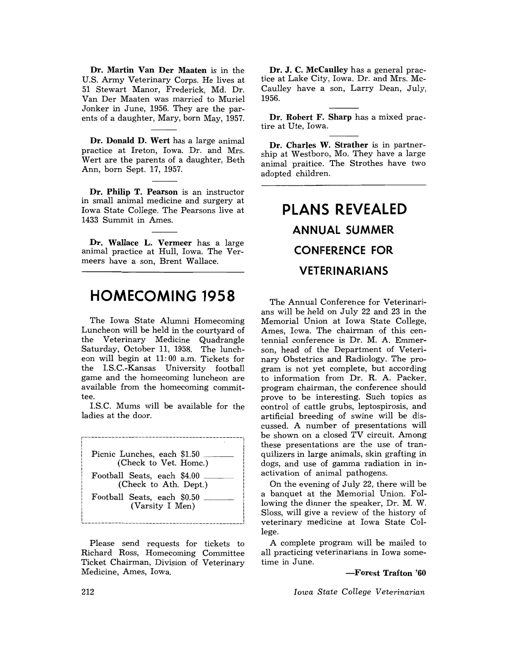Dr. Martin Van Der Maaten is in the U.S. Army Veterinary Corps. He lives at 51 Stewart Manor, Frederick, Md. Dr. Van Der Maaten was married to Muriel Jonker in June, 1956. They are the parents of a daughter, Mary, born May, 1957.

Dr. Donald D. Wert has a large animal practice at Ireton, Iowa. Dr. and Mrs. Wert are the parents of a daughter, Beth Ann, born Sept. 17, 1957.

Dr. Philip T. Pearson is an instructor in small animal medicine and surgery at Iowa State College. The Pearsons live at 1433 Summit in Ames.

Dr. Wallace L. Vermeer has a large animal practice at Hull, Iowa. The Vermeers have a son, Brent Wallace.

### **HOMECOMING 1958**

The Iowa State Alumni Homecoming Luncheon will be held in the courtyard of the Veterinary Medicine Quadrangle Saturday, Octoher 11, 1958. The luncheon will hegin at 11: 00 a.m. Tickets for the I.S.C.-Kansas University football game and the homecoming luncheon are available from the homecoming committee.

I.S.C. Mums will be availahle for the ladies at the door.



Please send requests for tickets to Richard Ross, Homecoming Committee Ticket Chairman, Division of Veterinary Medicine, Ames, Iowa.

Dr. J. C. McCaulley has a general practice at Lake City, Iowa. Dr. and Mrs. Mc-Caulley have a son, Larry Dean, July, 1956.

Dr. Robert F. Sharp has a mixed practire at Ute, Iowa.

Dr. Charles W. Strather is in partnership at Westboro, Mo. They have a large animal praitice. The Strothes have two adopted children.

## **PLANS REVEALED ANNUAL SUMMER CONFERENCE FOR VETERINARIANS**

The Annual Conference for Veterinarians will be held on July 22 and 23 in the Memorial Union at Iowa State College, Ames, Iowa. The chairman of this centennial conference is Dr. M. A. Emmerson, head of the Department of Veterinary Obstetrics and Radiology. The program is not yet complete, but according to information from Dr. R. A. Packer. program chairman, the conference should prove to he interesting. Such topics as control of cattle gruhs, leptospirosis, and artificial hreeding of swine will be discussed. A numher of presentations will be shown on a closed TV circuit. Among these presentations are the use of tranquilizers in large animals, skin grafting in dogs, and use of gamma radiation in inactivation of animal pathogens.

On the evening of July 22, there will he a hanquet at the Memorial Union. Following the dinner the speaker, Dr. M. W. Sloss, will give a review of the history of veterinary medicine at Iowa State College.

A complete program will he mailed to all practicing veterinarians in Iowa sometime in June.

#### -Forest Trafton '60

*Iowa State College Veterinarian*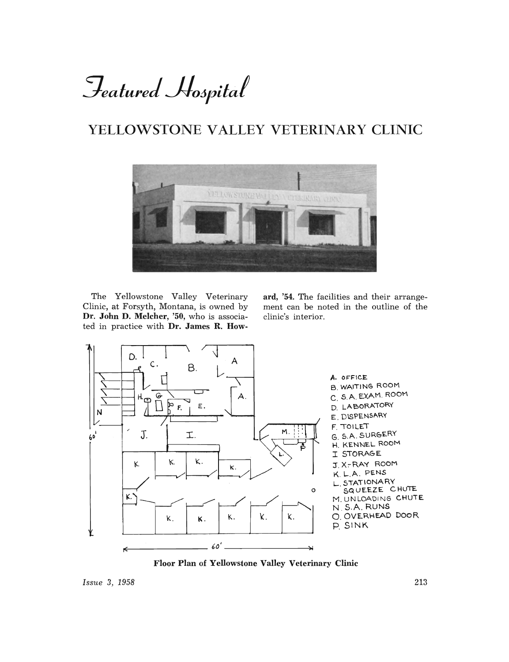# Featured Hospital

## YELLOWSTONE VALLEY VETERINARY CLINIC



The Yellowstone Valley Veterinary Clinic, at Forsyth, Montana, is owned by Dr. John D. Melcher, '50, who is associated in practice with Dr. James R. Howard, '54. The facilities and their arrangement can be noted in the outline of the clinic's interior.



Floor Plan of Yellowstone Valley Veterinary Clinic

Issue 3, 1958